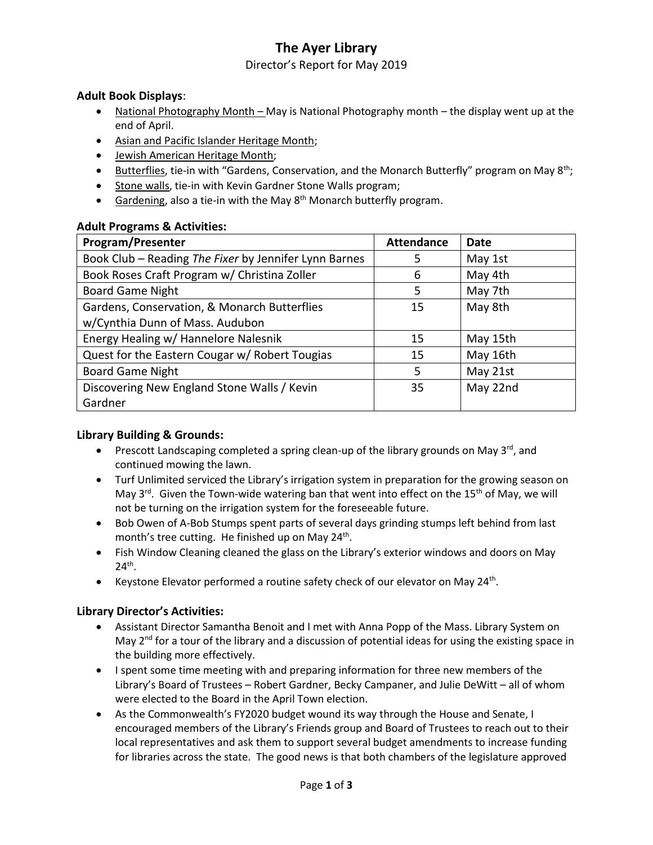# **The Ayer Library**

## Director's Report for May 2019

## **Adult Book Displays**:

- National Photography Month May is National Photography month the display went up at the end of April.
- Asian and Pacific Islander Heritage Month;
- Jewish American Heritage Month;
- Butterflies, tie-in with "Gardens, Conservation, and the Monarch Butterfly" program on May 8<sup>th</sup>;
- Stone walls, tie-in with Kevin Gardner Stone Walls program;
- Gardening, also a tie-in with the May  $8<sup>th</sup>$  Monarch butterfly program.

### **Adult Programs & Activities:**

| <b>Program/Presenter</b>                              | <b>Attendance</b> | <b>Date</b> |
|-------------------------------------------------------|-------------------|-------------|
| Book Club - Reading The Fixer by Jennifer Lynn Barnes | 5                 | May 1st     |
| Book Roses Craft Program w/ Christina Zoller          | 6                 | May 4th     |
| <b>Board Game Night</b>                               | 5                 | May 7th     |
| Gardens, Conservation, & Monarch Butterflies          | 15                | May 8th     |
| w/Cynthia Dunn of Mass. Audubon                       |                   |             |
| Energy Healing w/ Hannelore Nalesnik                  | 15                | May 15th    |
| Quest for the Eastern Cougar w/ Robert Tougias        | 15                | May 16th    |
| <b>Board Game Night</b>                               | 5                 | May 21st    |
| Discovering New England Stone Walls / Kevin           | 35                | May 22nd    |
| Gardner                                               |                   |             |

### **Library Building & Grounds:**

- **Prescott Landscaping completed a spring clean-up of the library grounds on May 3<sup>rd</sup>, and** continued mowing the lawn.
- Turf Unlimited serviced the Library's irrigation system in preparation for the growing season on May  $3^{rd}$ . Given the Town-wide watering ban that went into effect on the 15<sup>th</sup> of May, we will not be turning on the irrigation system for the foreseeable future.
- Bob Owen of A-Bob Stumps spent parts of several days grinding stumps left behind from last month's tree cutting. He finished up on May 24<sup>th</sup>.
- Fish Window Cleaning cleaned the glass on the Library's exterior windows and doors on May  $24<sup>th</sup>$ .
- Exercise Elevator performed a routine safety check of our elevator on May 24<sup>th</sup>.

### **Library Director's Activities:**

- Assistant Director Samantha Benoit and I met with Anna Popp of the Mass. Library System on May 2<sup>nd</sup> for a tour of the library and a discussion of potential ideas for using the existing space in the building more effectively.
- I spent some time meeting with and preparing information for three new members of the Library's Board of Trustees – Robert Gardner, Becky Campaner, and Julie DeWitt – all of whom were elected to the Board in the April Town election.
- As the Commonwealth's FY2020 budget wound its way through the House and Senate, I encouraged members of the Library's Friends group and Board of Trustees to reach out to their local representatives and ask them to support several budget amendments to increase funding for libraries across the state. The good news is that both chambers of the legislature approved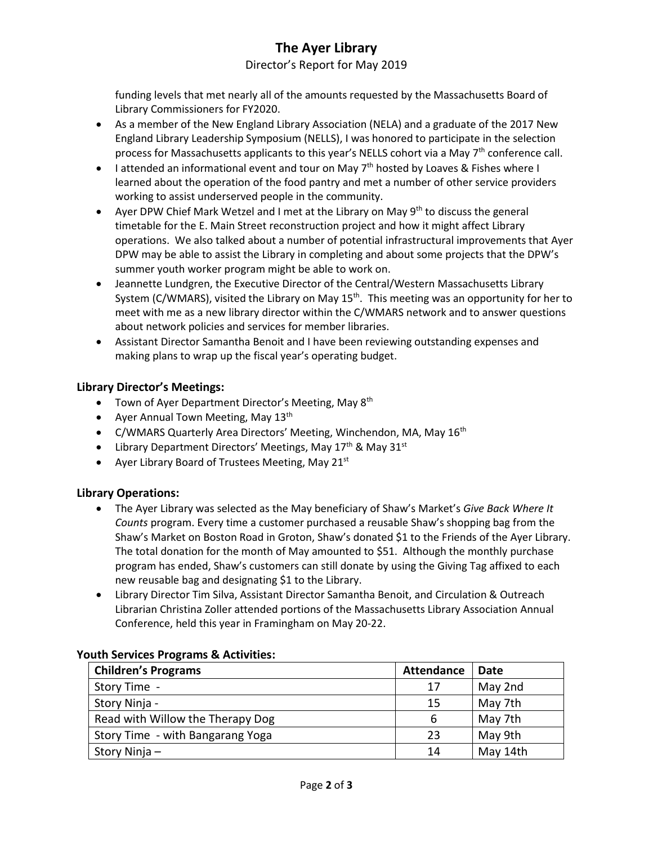# **The Ayer Library**

Director's Report for May 2019

funding levels that met nearly all of the amounts requested by the Massachusetts Board of Library Commissioners for FY2020.

- As a member of the New England Library Association (NELA) and a graduate of the 2017 New England Library Leadership Symposium (NELLS), I was honored to participate in the selection process for Massachusetts applicants to this year's NELLS cohort via a May 7<sup>th</sup> conference call.
- I attended an informational event and tour on May  $7<sup>th</sup>$  hosted by Loaves & Fishes where I learned about the operation of the food pantry and met a number of other service providers working to assist underserved people in the community.
- Ayer DPW Chief Mark Wetzel and I met at the Library on May  $9<sup>th</sup>$  to discuss the general timetable for the E. Main Street reconstruction project and how it might affect Library operations. We also talked about a number of potential infrastructural improvements that Ayer DPW may be able to assist the Library in completing and about some projects that the DPW's summer youth worker program might be able to work on.
- Jeannette Lundgren, the Executive Director of the Central/Western Massachusetts Library System (C/WMARS), visited the Library on May 15<sup>th</sup>. This meeting was an opportunity for her to meet with me as a new library director within the C/WMARS network and to answer questions about network policies and services for member libraries.
- Assistant Director Samantha Benoit and I have been reviewing outstanding expenses and making plans to wrap up the fiscal year's operating budget.

## **Library Director's Meetings:**

- Town of Ayer Department Director's Meeting, May 8<sup>th</sup>
- Ayer Annual Town Meeting, May  $13<sup>th</sup>$
- C/WMARS Quarterly Area Directors' Meeting, Winchendon, MA, May  $16<sup>th</sup>$
- Library Department Directors' Meetings, May  $17<sup>th</sup>$  & May  $31<sup>st</sup>$
- Ayer Library Board of Trustees Meeting, May 21 $st$

### **Library Operations:**

- The Ayer Library was selected as the May beneficiary of Shaw's Market's *Give Back Where It Counts* program. Every time a customer purchased a reusable Shaw's shopping bag from the Shaw's Market on Boston Road in Groton, Shaw's donated \$1 to the Friends of the Ayer Library. The total donation for the month of May amounted to \$51. Although the monthly purchase program has ended, Shaw's customers can still donate by using the Giving Tag affixed to each new reusable bag and designating \$1 to the Library.
- Library Director Tim Silva, Assistant Director Samantha Benoit, and Circulation & Outreach Librarian Christina Zoller attended portions of the Massachusetts Library Association Annual Conference, held this year in Framingham on May 20-22.

| <b>Children's Programs</b>       | <b>Attendance</b> | Date     |
|----------------------------------|-------------------|----------|
| Story Time -                     | 17                | May 2nd  |
| Story Ninja -                    | 15                | May 7th  |
| Read with Willow the Therapy Dog | 6                 | May 7th  |
| Story Time - with Bangarang Yoga | 23                | May 9th  |
| Story Ninja –                    | 14                | May 14th |

### **Youth Services Programs & Activities:**